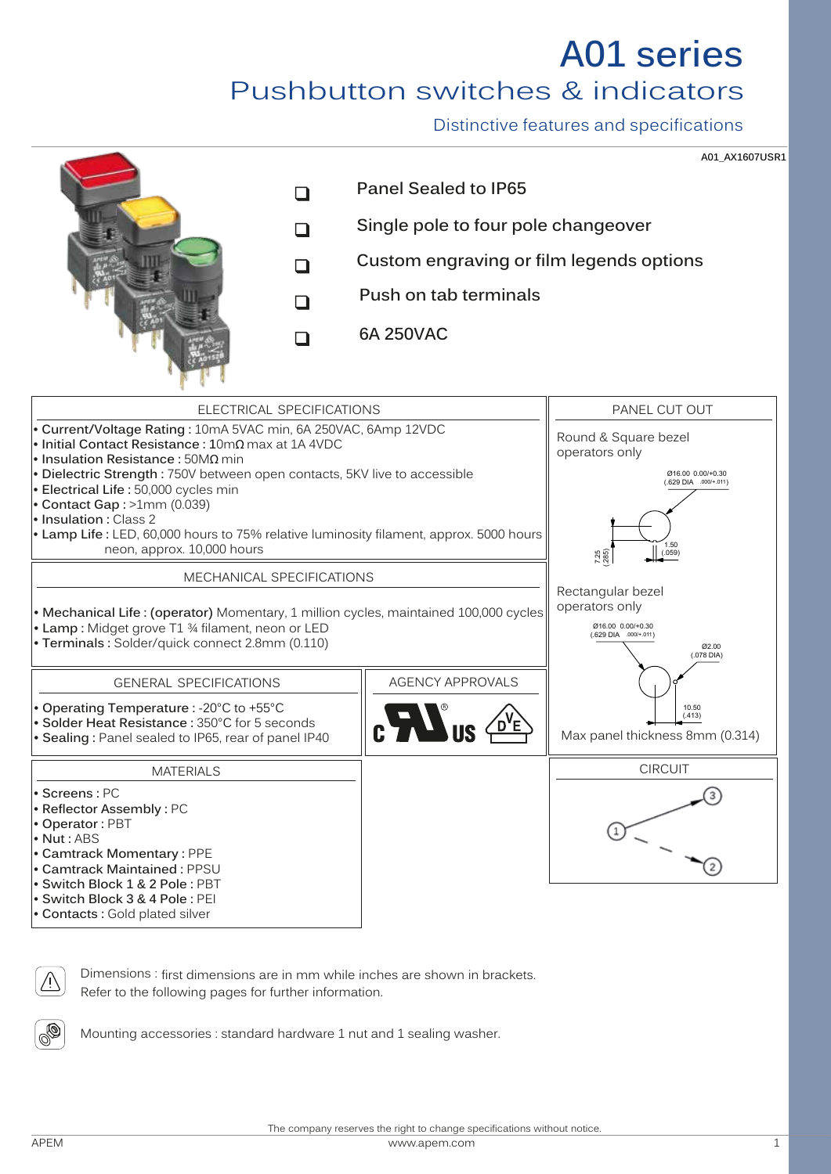# **A01 series**

Pushbutton switches & indicators

Distinctive features and specifications

**A01\_AX1607USR1**







Dimensions : first dimensions are in mm while inches are shown in brackets. Refer to the following pages for further information.



Mounting accessories : standard hardware 1 nut and 1 sealing washer.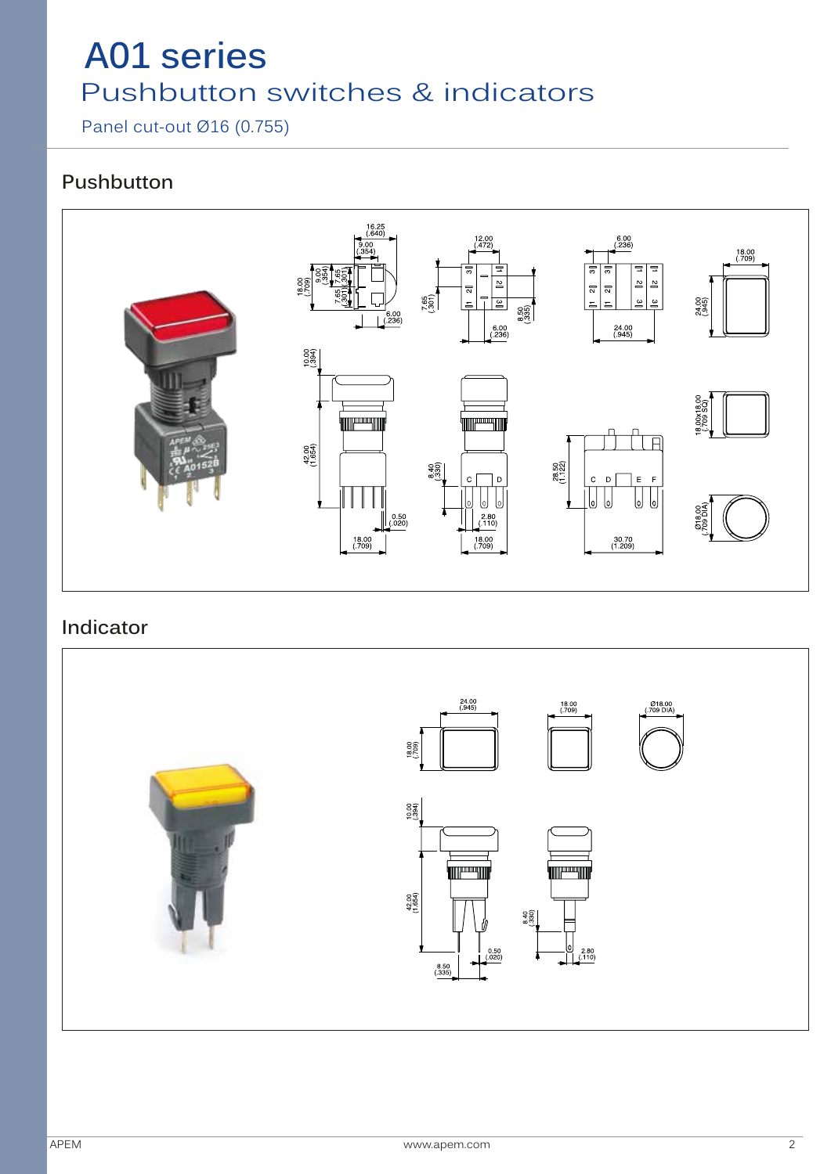Panel cut-out Ø16 (0.755)

#### **Pushbutton**



#### **Indicator**

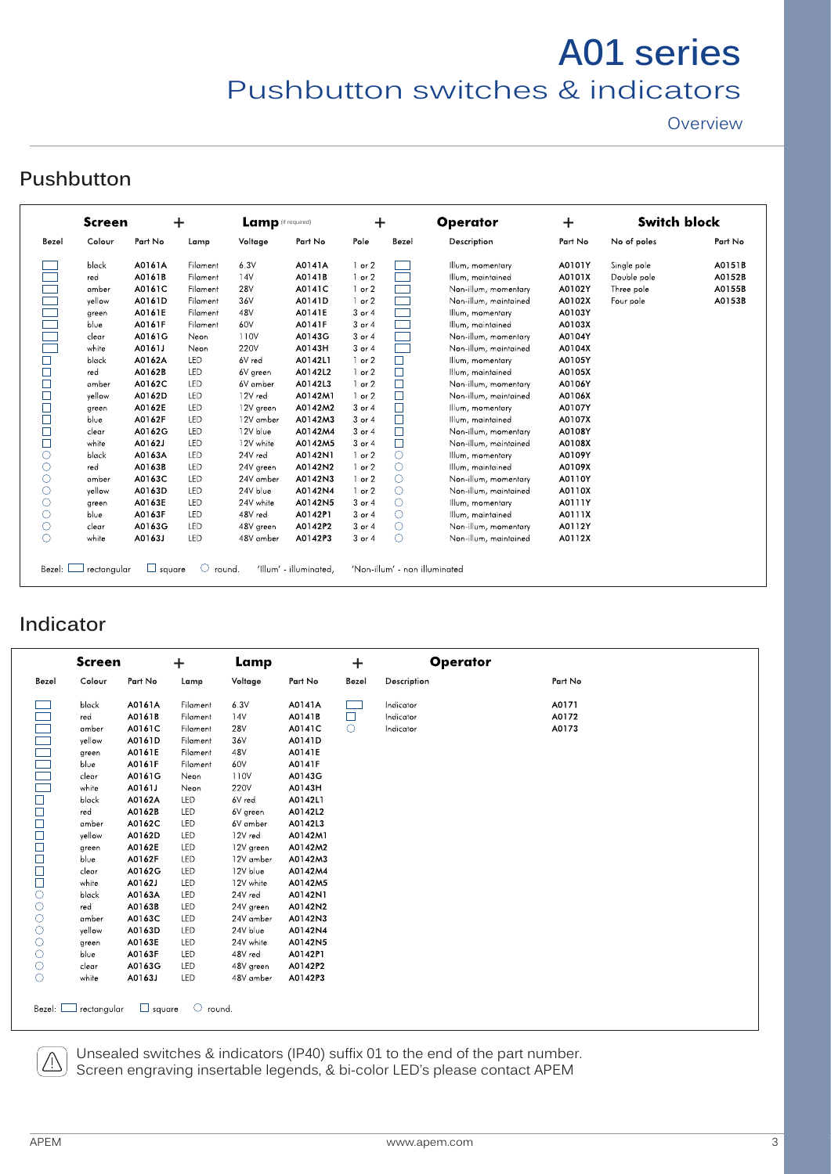**Overview** 

#### **Pushbutton**

|            | <b>Screen</b> | $\mathbf +$ |          | Lamp (if required) |         | $\ddag$    |            | <b>Operator</b>       | $\ddot{}$ | <b>Switch block</b> |         |
|------------|---------------|-------------|----------|--------------------|---------|------------|------------|-----------------------|-----------|---------------------|---------|
| Bezel      | Colour        | Part No     | Lamp     | Voltage            | Part No | Pole       | Bezel      | Description           | Part No   | No of poles         | Part No |
|            | black         | A0161A      | Filament | 6.3V               | A0141A  | $1$ or $2$ |            | Illum, momentary      | A0101Y    | Single pole         | A0151B  |
|            | red           | A0161B      | Filament | 14V                | A0141B  | $1$ or $2$ |            | Illum, maintained     | A0101X    | Double pole         | A0152B  |
|            | amber         | A0161C      | Filament | <b>28V</b>         | A0141C  | $1$ or $2$ |            | Non-illum, momentary  | A0102Y    | Three pole          | A0155B  |
| $\Box$     | vellow        | A0161D      | Filament | 36V                | A0141D  | $1$ or $2$ |            | Non-illum, maintained | A0102X    | Four pole           | A0153B  |
|            | green         | A0161E      | Filament | 48V                | A0141E  | 3 or 4     |            | Illum, momentary      | A0103Y    |                     |         |
|            | blue          | A0161F      | Filament | 60V                | A0141F  | 3 or 4     |            | Illum, maintained     | A0103X    |                     |         |
| ÷.         | clear         | A0161G      | Neon     | 110V               | A0143G  | 3 or 4     |            | Non-illum, momentary  | A0104Y    |                     |         |
|            | white         | A0161J      | Neon     | <b>220V</b>        | A0143H  | 3 or 4     |            | Non-illum, maintained | A0104X    |                     |         |
| □          | black         | A0162A      | LED      | 6V red             | A0142L1 | $1$ or $2$ | $\Box$     | Illum, momentary      | A0105Y    |                     |         |
| $\Box$     | red           | A0162B      | LED      | 6V green           | A0142L2 | $1$ or $2$ | $\Box$     | Illum, maintained     | A0105X    |                     |         |
| $\Box$     | amber         | A0162C      | LED      | 6V amber           | A0142L3 | $1$ or $2$ | $\Box$     | Non-illum, momentary  | A0106Y    |                     |         |
| $\Box$     | vellow        | A0162D      | LED      | 12V red            | A0142M1 | $1$ or $2$ | $\Box$     | Non-illum, maintained | A0106X    |                     |         |
| $\Box$     | green         | A0162E      | LED      | 12V green          | A0142M2 | 3 or 4     | $\Box$     | Illum, momentary      | A0107Y    |                     |         |
| $\Box$     | blue          | A0162F      | LED      | 12V amber          | A0142M3 | 3 or 4     | $\Box$     | Illum, maintained     | A0107X    |                     |         |
| $\Box$     | clear         | A0162G      | LED      | 12V blue           | A0142M4 | 3 or 4     | $\Box$     | Non-illum, momentary  | A0108Y    |                     |         |
| $\Box$     | white         | A0162J      | LED      | 12V white          | A0142M5 | 3 or 4     | $\Box$     | Non-illum, maintained | A0108X    |                     |         |
| $\circ$    | black         | A0163A      | LED      | 24V red            | A0142N1 | $1$ or $2$ | $\circ$    | Illum, momentary      | A0109Y    |                     |         |
| $\circ$    | red           | A0163B      | LED      | 24V green          | A0142N2 | $1$ or $2$ | $\bigcirc$ | Illum, maintained     | A0109X    |                     |         |
| $\circ$    | amber         | A0163C      | LED      | 24V amber          | A0142N3 | $1$ or $2$ | $\circ$    | Non-illum, momentary  | A0110Y    |                     |         |
| $\circ$    | vellow        | A0163D      | LED      | 24V blue           | A0142N4 | $1$ or $2$ | $\circ$    | Non-illum, maintained | A0110X    |                     |         |
| O          | green         | A0163E      | LED      | 24V white          | A0142N5 | 3 or 4     | $\circ$    | Illum, momentary      | A0111Y    |                     |         |
| Ο          | blue          | A0163F      | LED      | 48V red            | A0142P1 | $3$ or $4$ | $\circ$    | Illum, maintained     | A0111X    |                     |         |
| O          | clear         | A0163G      | LED      | 48V green          | A0142P2 | 3 or 4     | $\circ$    | Non-illum, momentary  | A0112Y    |                     |         |
| $\bigcirc$ | white         | A0163J      | LED      | 48V amber          | A0142P3 | 3 or 4     | $\circ$    | Non-illum, maintained | A0112X    |                     |         |

#### **Indicator**

|                | <b>Screen</b> |               | ÷.                | Lamp       |         | $\ddag$ | <b>Operator</b> |         |  |
|----------------|---------------|---------------|-------------------|------------|---------|---------|-----------------|---------|--|
| Bezel          | Colour        | Part No       | Lamp              | Voltage    | Part No | Bezel   | Description     | Part No |  |
|                | black         | A0161A        | Filament          | 6.3V       | A0141A  |         | Indicator       | A0171   |  |
|                | red           | A0161B        | Filament          | 14V        | A0141B  | П       | Indicator       | A0172   |  |
|                | amber         | A0161C        | Filament          | <b>28V</b> | A0141C  | $\circ$ | Indicator       | A0173   |  |
|                | yellow        | A0161D        | Filament          | 36V        | A0141D  |         |                 |         |  |
|                | green         | A0161E        | Filament          | 48V        | A0141E  |         |                 |         |  |
|                | blue          | A0161F        | Filament          | 60V        | A0141F  |         |                 |         |  |
|                | clear         | A0161G        | Neon              | 110V       | A0143G  |         |                 |         |  |
|                | white         | A0161J        | Neon              | 220V       | A0143H  |         |                 |         |  |
|                | black         | A0162A        | <b>LED</b>        | 6V red     | A0142L1 |         |                 |         |  |
|                | red           | A0162B        | LED               | 6V green   | A0142L2 |         |                 |         |  |
| 00000000000000 | amber         | A0162C        | LED               | 6V amber   | A0142L3 |         |                 |         |  |
|                | yellow        | A0162D        | LED               | 12V red    | A0142M1 |         |                 |         |  |
|                | green         | A0162E        | LED               | 12V green  | A0142M2 |         |                 |         |  |
|                | blue          | A0162F        | LED               | 12V amber  | A0142M3 |         |                 |         |  |
|                | clear         | A0162G        | LED               | 12V blue   | A0142M4 |         |                 |         |  |
|                | white         | A0162J        | LED               | 12V white  | A0142M5 |         |                 |         |  |
|                | black         | A0163A        | LED               | 24V red    | A0142N1 |         |                 |         |  |
|                | red           | A0163B        | LED               | 24V green  | A0142N2 |         |                 |         |  |
|                | amber         | A0163C        | LED               | 24V amber  | A0142N3 |         |                 |         |  |
|                | yellow        | A0163D        | LED               | 24V blue   | A0142N4 |         |                 |         |  |
|                | green         | A0163E        | LED               | 24V white  | A0142N5 |         |                 |         |  |
|                | blue          | A0163F        | LED               | 48V red    | A0142P1 |         |                 |         |  |
|                | clear         | A0163G        | LED               | 48V green  | A0142P2 |         |                 |         |  |
| $\circ$        | white         | A0163J        | LED               | 48V amber  | A0142P3 |         |                 |         |  |
| Bezel:         | rectangular   | $\Box$ square | $\circ$<br>round. |            |         |         |                 |         |  |

Unsealed switches & indicators (IP40) suffix 01 to the end of the part number. Screen engraving insertable legends, & bi-color LED's please contact APEM

 $\triangle$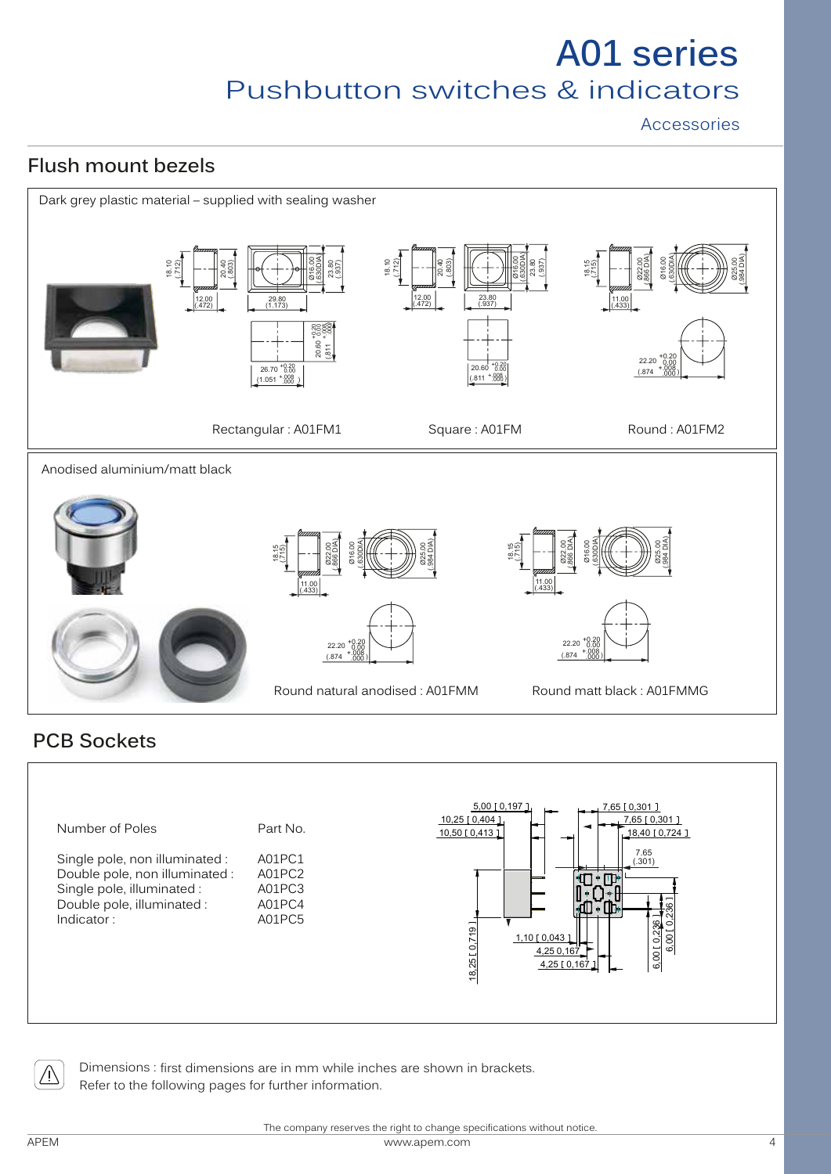Accessories

### **Flush mount bezels**



#### **PCB Sockets**





Dimensions : first dimensions are in mm while inches are shown in brackets. Refer to the following pages for further information.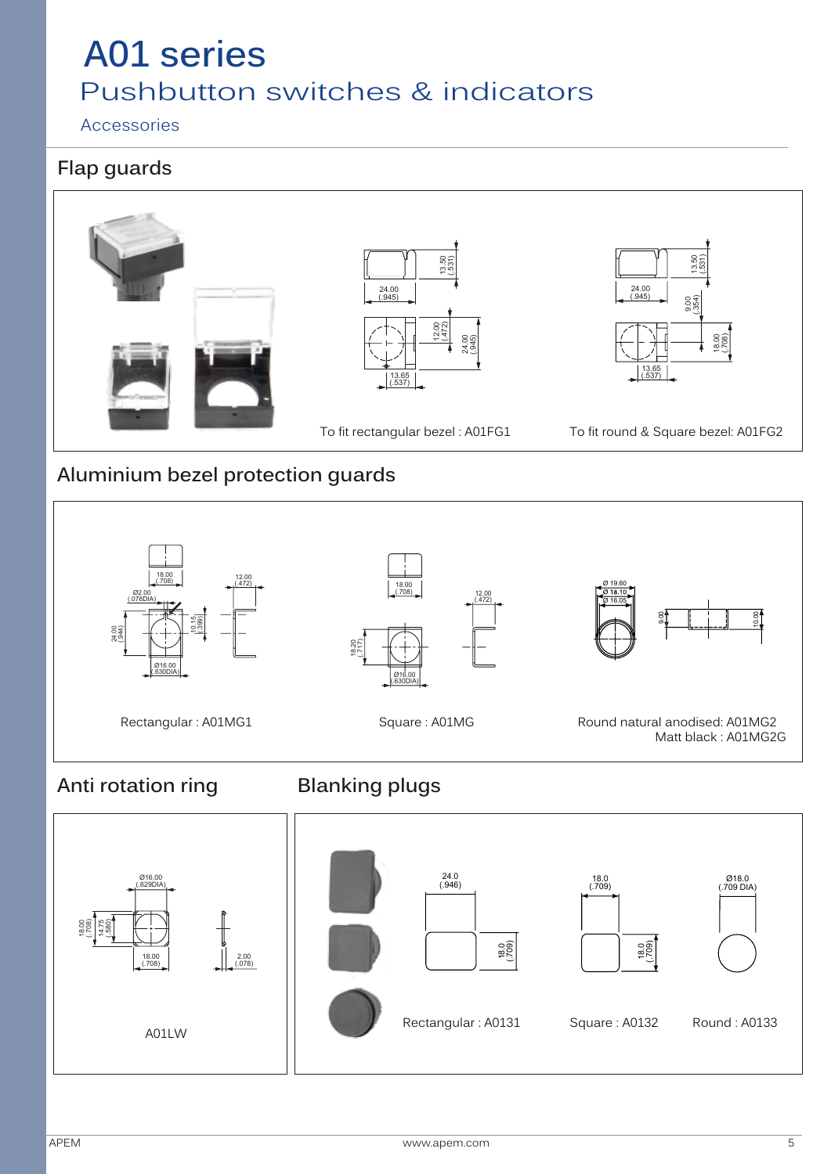#### Accessories

#### **Flap guards**



#### **Aluminium bezel protection guards**



**Anti rotation ring Blanking plugs**